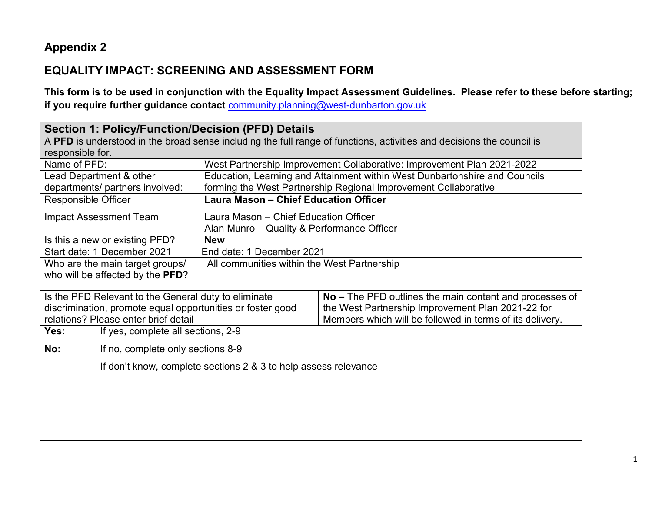## **Appendix 2**

## **EQUALITY IMPACT: SCREENING AND ASSESSMENT FORM**

**This form is to be used in conjunction with the Equality Impact Assessment Guidelines. Please refer to these before starting; if you require further guidance contact** [community.planning@west-dunbarton.gov.uk](mailto:community.planning@west-dunbarton.gov.uk)

| <b>Section 1: Policy/Function/Decision (PFD) Details</b>   |                                                                                                                       |                                                                            |                                                          |  |  |
|------------------------------------------------------------|-----------------------------------------------------------------------------------------------------------------------|----------------------------------------------------------------------------|----------------------------------------------------------|--|--|
|                                                            | A PFD is understood in the broad sense including the full range of functions, activities and decisions the council is |                                                                            |                                                          |  |  |
|                                                            | responsible for.                                                                                                      |                                                                            |                                                          |  |  |
|                                                            | Name of PFD:<br>West Partnership Improvement Collaborative: Improvement Plan 2021-2022                                |                                                                            |                                                          |  |  |
|                                                            | Lead Department & other                                                                                               | Education, Learning and Attainment within West Dunbartonshire and Councils |                                                          |  |  |
|                                                            | departments/ partners involved:                                                                                       | forming the West Partnership Regional Improvement Collaborative            |                                                          |  |  |
| <b>Responsible Officer</b>                                 |                                                                                                                       | Laura Mason - Chief Education Officer                                      |                                                          |  |  |
|                                                            | <b>Impact Assessment Team</b>                                                                                         | Laura Mason - Chief Education Officer                                      |                                                          |  |  |
|                                                            |                                                                                                                       | Alan Munro – Quality & Performance Officer                                 |                                                          |  |  |
| Is this a new or existing PFD?                             |                                                                                                                       | <b>New</b>                                                                 |                                                          |  |  |
| Start date: 1 December 2021                                |                                                                                                                       | End date: 1 December 2021                                                  |                                                          |  |  |
| Who are the main target groups/                            |                                                                                                                       | All communities within the West Partnership                                |                                                          |  |  |
| who will be affected by the PFD?                           |                                                                                                                       |                                                                            |                                                          |  |  |
| Is the PFD Relevant to the General duty to eliminate       |                                                                                                                       |                                                                            | No – The PFD outlines the main content and processes of  |  |  |
| discrimination, promote equal opportunities or foster good |                                                                                                                       |                                                                            | the West Partnership Improvement Plan 2021-22 for        |  |  |
| relations? Please enter brief detail                       |                                                                                                                       |                                                                            | Members which will be followed in terms of its delivery. |  |  |
| Yes:                                                       | If yes, complete all sections, 2-9                                                                                    |                                                                            |                                                          |  |  |
| No:                                                        | If no, complete only sections 8-9                                                                                     |                                                                            |                                                          |  |  |
|                                                            | If don't know, complete sections 2 & 3 to help assess relevance                                                       |                                                                            |                                                          |  |  |
|                                                            |                                                                                                                       |                                                                            |                                                          |  |  |
|                                                            |                                                                                                                       |                                                                            |                                                          |  |  |
|                                                            |                                                                                                                       |                                                                            |                                                          |  |  |
|                                                            |                                                                                                                       |                                                                            |                                                          |  |  |
|                                                            |                                                                                                                       |                                                                            |                                                          |  |  |
|                                                            |                                                                                                                       |                                                                            |                                                          |  |  |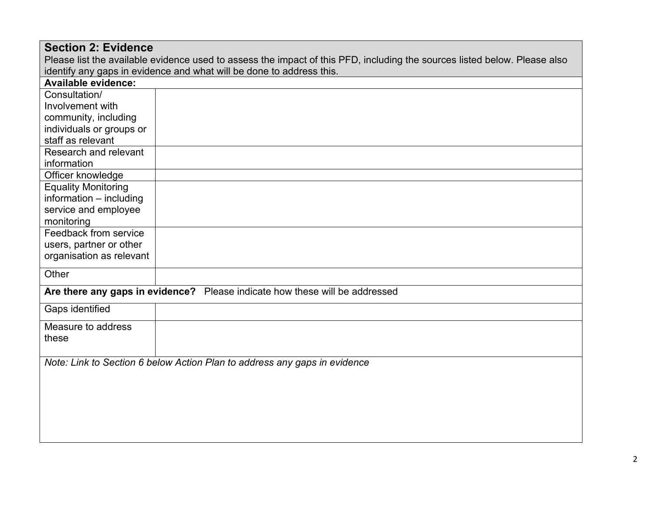| <b>Section 2: Evidence</b>                                                  |                                                                                                                           |  |  |  |  |
|-----------------------------------------------------------------------------|---------------------------------------------------------------------------------------------------------------------------|--|--|--|--|
|                                                                             | Please list the available evidence used to assess the impact of this PFD, including the sources listed below. Please also |  |  |  |  |
|                                                                             | identify any gaps in evidence and what will be done to address this.                                                      |  |  |  |  |
| <b>Available evidence:</b>                                                  |                                                                                                                           |  |  |  |  |
| Consultation/                                                               |                                                                                                                           |  |  |  |  |
| Involvement with                                                            |                                                                                                                           |  |  |  |  |
| community, including                                                        |                                                                                                                           |  |  |  |  |
| individuals or groups or                                                    |                                                                                                                           |  |  |  |  |
| staff as relevant                                                           |                                                                                                                           |  |  |  |  |
| Research and relevant                                                       |                                                                                                                           |  |  |  |  |
| information                                                                 |                                                                                                                           |  |  |  |  |
| Officer knowledge                                                           |                                                                                                                           |  |  |  |  |
| <b>Equality Monitoring</b>                                                  |                                                                                                                           |  |  |  |  |
| information - including                                                     |                                                                                                                           |  |  |  |  |
| service and employee                                                        |                                                                                                                           |  |  |  |  |
| monitoring                                                                  |                                                                                                                           |  |  |  |  |
| Feedback from service                                                       |                                                                                                                           |  |  |  |  |
| users, partner or other                                                     |                                                                                                                           |  |  |  |  |
| organisation as relevant                                                    |                                                                                                                           |  |  |  |  |
| Other                                                                       |                                                                                                                           |  |  |  |  |
| Are there any gaps in evidence? Please indicate how these will be addressed |                                                                                                                           |  |  |  |  |
| Gaps identified                                                             |                                                                                                                           |  |  |  |  |
| Measure to address                                                          |                                                                                                                           |  |  |  |  |
| these                                                                       |                                                                                                                           |  |  |  |  |
|                                                                             |                                                                                                                           |  |  |  |  |
| Note: Link to Section 6 below Action Plan to address any gaps in evidence   |                                                                                                                           |  |  |  |  |
|                                                                             |                                                                                                                           |  |  |  |  |
|                                                                             |                                                                                                                           |  |  |  |  |
|                                                                             |                                                                                                                           |  |  |  |  |
|                                                                             |                                                                                                                           |  |  |  |  |
|                                                                             |                                                                                                                           |  |  |  |  |
|                                                                             |                                                                                                                           |  |  |  |  |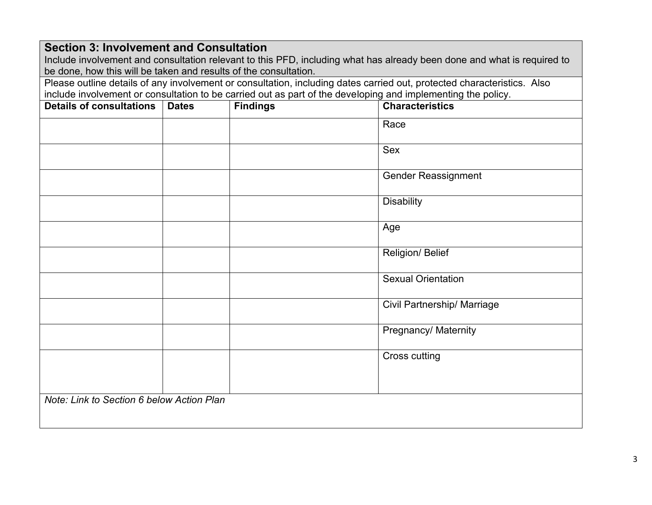| <b>Section 3: Involvement and Consultation</b>                   |              |                                                                                                              |                                                                                                                         |  |
|------------------------------------------------------------------|--------------|--------------------------------------------------------------------------------------------------------------|-------------------------------------------------------------------------------------------------------------------------|--|
|                                                                  |              |                                                                                                              | Include involvement and consultation relevant to this PFD, including what has already been done and what is required to |  |
| be done, how this will be taken and results of the consultation. |              |                                                                                                              |                                                                                                                         |  |
|                                                                  |              |                                                                                                              | Please outline details of any involvement or consultation, including dates carried out, protected characteristics. Also |  |
|                                                                  |              | include involvement or consultation to be carried out as part of the developing and implementing the policy. |                                                                                                                         |  |
| <b>Details of consultations</b>                                  | <b>Dates</b> | <b>Findings</b>                                                                                              | <b>Characteristics</b>                                                                                                  |  |
|                                                                  |              |                                                                                                              | Race                                                                                                                    |  |
|                                                                  |              |                                                                                                              | <b>Sex</b>                                                                                                              |  |
|                                                                  |              |                                                                                                              | <b>Gender Reassignment</b>                                                                                              |  |
|                                                                  |              |                                                                                                              | <b>Disability</b>                                                                                                       |  |
|                                                                  |              |                                                                                                              | Age                                                                                                                     |  |
|                                                                  |              |                                                                                                              | Religion/ Belief                                                                                                        |  |
|                                                                  |              |                                                                                                              | <b>Sexual Orientation</b>                                                                                               |  |
|                                                                  |              |                                                                                                              | <b>Civil Partnership/ Marriage</b>                                                                                      |  |
|                                                                  |              |                                                                                                              | Pregnancy/ Maternity                                                                                                    |  |
|                                                                  |              |                                                                                                              | <b>Cross cutting</b>                                                                                                    |  |
|                                                                  |              |                                                                                                              |                                                                                                                         |  |
| Note: Link to Section 6 below Action Plan                        |              |                                                                                                              |                                                                                                                         |  |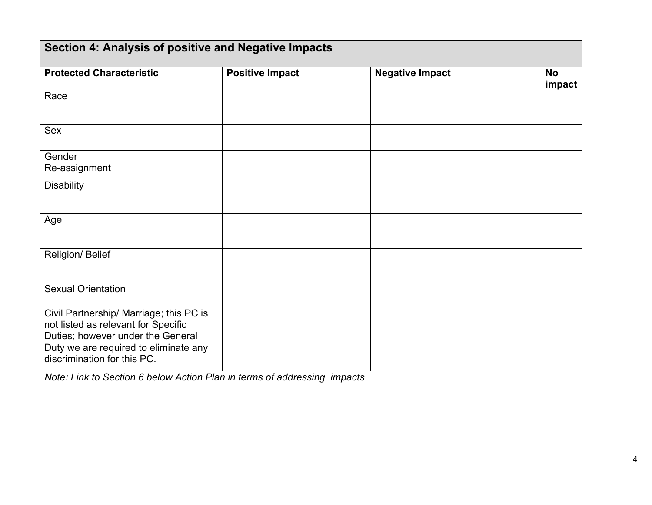| Section 4: Analysis of positive and Negative Impacts                                                                                                                                        |                        |                        |                     |  |
|---------------------------------------------------------------------------------------------------------------------------------------------------------------------------------------------|------------------------|------------------------|---------------------|--|
| <b>Protected Characteristic</b>                                                                                                                                                             | <b>Positive Impact</b> | <b>Negative Impact</b> | <b>No</b><br>impact |  |
| Race                                                                                                                                                                                        |                        |                        |                     |  |
| Sex                                                                                                                                                                                         |                        |                        |                     |  |
| Gender<br>Re-assignment                                                                                                                                                                     |                        |                        |                     |  |
| <b>Disability</b>                                                                                                                                                                           |                        |                        |                     |  |
| Age                                                                                                                                                                                         |                        |                        |                     |  |
| Religion/ Belief                                                                                                                                                                            |                        |                        |                     |  |
| <b>Sexual Orientation</b>                                                                                                                                                                   |                        |                        |                     |  |
| Civil Partnership/ Marriage; this PC is<br>not listed as relevant for Specific<br>Duties; however under the General<br>Duty we are required to eliminate any<br>discrimination for this PC. |                        |                        |                     |  |
| Note: Link to Section 6 below Action Plan in terms of addressing impacts                                                                                                                    |                        |                        |                     |  |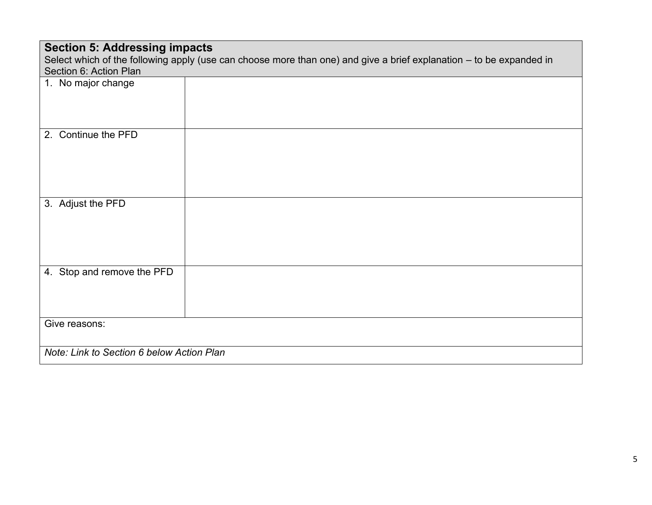| <b>Section 5: Addressing impacts</b>                                                                                |  |  |  |  |
|---------------------------------------------------------------------------------------------------------------------|--|--|--|--|
| Select which of the following apply (use can choose more than one) and give a brief explanation - to be expanded in |  |  |  |  |
| Section 6: Action Plan                                                                                              |  |  |  |  |
| 1. No major change                                                                                                  |  |  |  |  |
| Continue the PFD<br>2.                                                                                              |  |  |  |  |
| 3. Adjust the PFD                                                                                                   |  |  |  |  |
| 4. Stop and remove the PFD                                                                                          |  |  |  |  |
| Give reasons:                                                                                                       |  |  |  |  |
| Note: Link to Section 6 below Action Plan                                                                           |  |  |  |  |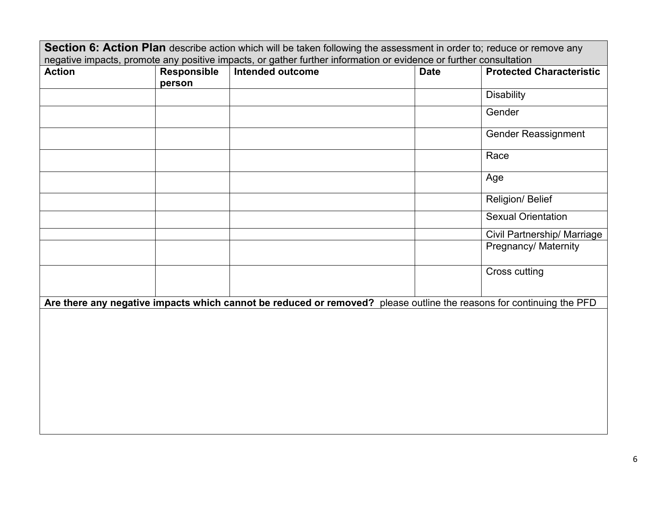| Section 6: Action Plan describe action which will be taken following the assessment in order to; reduce or remove any |                    |                                                                                                                      |             |                                    |
|-----------------------------------------------------------------------------------------------------------------------|--------------------|----------------------------------------------------------------------------------------------------------------------|-------------|------------------------------------|
| negative impacts, promote any positive impacts, or gather further information or evidence or further consultation     |                    |                                                                                                                      |             |                                    |
| <b>Action</b>                                                                                                         | <b>Responsible</b> | Intended outcome                                                                                                     | <b>Date</b> | <b>Protected Characteristic</b>    |
|                                                                                                                       | person             |                                                                                                                      |             |                                    |
|                                                                                                                       |                    |                                                                                                                      |             | <b>Disability</b>                  |
|                                                                                                                       |                    |                                                                                                                      |             | Gender                             |
|                                                                                                                       |                    |                                                                                                                      |             | <b>Gender Reassignment</b>         |
|                                                                                                                       |                    |                                                                                                                      |             | Race                               |
|                                                                                                                       |                    |                                                                                                                      |             | Age                                |
|                                                                                                                       |                    |                                                                                                                      |             | Religion/ Belief                   |
|                                                                                                                       |                    |                                                                                                                      |             | <b>Sexual Orientation</b>          |
|                                                                                                                       |                    |                                                                                                                      |             | <b>Civil Partnership/ Marriage</b> |
|                                                                                                                       |                    |                                                                                                                      |             | Pregnancy/ Maternity               |
|                                                                                                                       |                    |                                                                                                                      |             | Cross cutting                      |
|                                                                                                                       |                    | Are there any negative impacts which cannot be reduced or removed? please outline the reasons for continuing the PFD |             |                                    |
|                                                                                                                       |                    |                                                                                                                      |             |                                    |